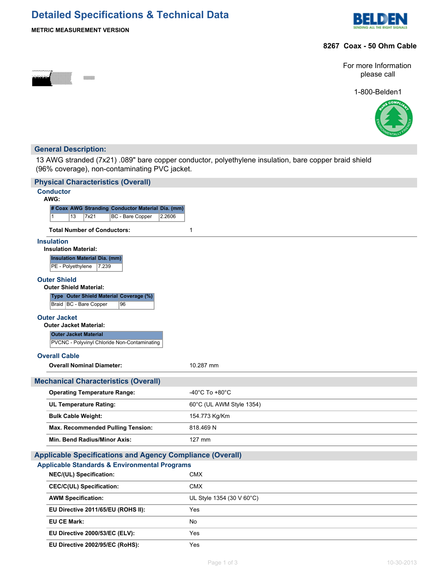# **Detailed Specifications & Technical Data**



## **METRIC MEASUREMENT VERSION**

## **8267 Coax - 50 Ohm Cable**



For more Information please call

1-800-Belden1



## **General Description:**

13 AWG stranded (7x21) .089" bare copper conductor, polyethylene insulation, bare copper braid shield (96% coverage), non-contaminating PVC jacket.

| <b>Physical Characteristics (Overall)</b>                                    |                                      |
|------------------------------------------------------------------------------|--------------------------------------|
| <b>Conductor</b>                                                             |                                      |
| AWG:<br># Coax AWG Stranding Conductor Material Dia. (mm)                    |                                      |
| 7x21<br>BC - Bare Copper<br>$\mathbf{1}$<br>13<br>2.2606                     |                                      |
| <b>Total Number of Conductors:</b>                                           | 1                                    |
| <b>Insulation</b>                                                            |                                      |
| <b>Insulation Material:</b>                                                  |                                      |
| <b>Insulation Material Dia. (mm)</b><br>PE - Polyethylene<br>7.239           |                                      |
| <b>Outer Shield</b>                                                          |                                      |
| <b>Outer Shield Material:</b>                                                |                                      |
| Type Outer Shield Material Coverage (%)                                      |                                      |
| Braid   BC - Bare Copper<br>96                                               |                                      |
| <b>Outer Jacket</b>                                                          |                                      |
| <b>Outer Jacket Material:</b>                                                |                                      |
| <b>Outer Jacket Material</b><br>PVCNC - Polyvinyl Chloride Non-Contaminating |                                      |
|                                                                              |                                      |
| <b>Overall Cable</b>                                                         |                                      |
|                                                                              |                                      |
| <b>Overall Nominal Diameter:</b>                                             | 10.287 mm                            |
| <b>Mechanical Characteristics (Overall)</b>                                  |                                      |
| <b>Operating Temperature Range:</b>                                          | -40 $^{\circ}$ C To +80 $^{\circ}$ C |
| <b>UL Temperature Rating:</b>                                                | 60°C (UL AWM Style 1354)             |
| <b>Bulk Cable Weight:</b>                                                    | 154.773 Kg/Km                        |
| Max. Recommended Pulling Tension:                                            | 818.469 N                            |
| Min. Bend Radius/Minor Axis:                                                 | 127 mm                               |
| <b>Applicable Specifications and Agency Compliance (Overall)</b>             |                                      |
| <b>Applicable Standards &amp; Environmental Programs</b>                     |                                      |
| NEC/(UL) Specification:                                                      | <b>CMX</b>                           |
| <b>CEC/C(UL) Specification:</b>                                              | <b>CMX</b>                           |
| <b>AWM Specification:</b>                                                    | UL Style 1354 (30 V 60°C)            |
| EU Directive 2011/65/EU (ROHS II):                                           | Yes                                  |
| <b>EU CE Mark:</b>                                                           | No                                   |
| EU Directive 2000/53/EC (ELV):                                               | Yes                                  |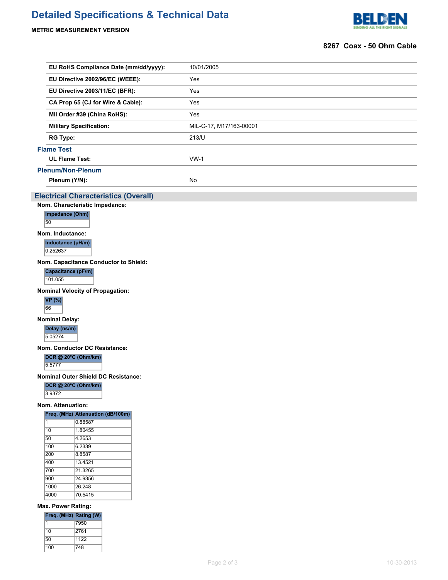# **Detailed Specifications & Technical Data**

**METRIC MEASUREMENT VERSION**



## **8267 Coax - 50 Ohm Cable**

| EU RoHS Compliance Date (mm/dd/yyyy): | 10/01/2005              |  |  |
|---------------------------------------|-------------------------|--|--|
| EU Directive 2002/96/EC (WEEE):       | Yes                     |  |  |
| EU Directive 2003/11/EC (BFR):        | Yes                     |  |  |
| CA Prop 65 (CJ for Wire & Cable):     | Yes                     |  |  |
| MII Order #39 (China RoHS):           | Yes                     |  |  |
| <b>Military Specification:</b>        | MIL-C-17, M17/163-00001 |  |  |
| <b>RG Type:</b>                       | 213/U                   |  |  |
| <b>Flame Test</b>                     |                         |  |  |
| <b>UL Flame Test:</b>                 | $VW-1$                  |  |  |
| Plenum/Non-Plenum                     |                         |  |  |
| Plenum (Y/N):                         | No                      |  |  |
|                                       |                         |  |  |

## **Electrical Characteristics (Overall)**

**Nom. Characteristic Impedance:**



50

### **Nom. Inductance:**

**Inductance (µH/m)**

0.252637

**Nom. Capacitance Conductor to Shield:**

**Capacitance (pF/m)**

101.055

**Nominal Velocity of Propagation:**



**Nominal Delay:**

**Delay (ns/m)** 5.05274

**Nom. Conductor DC Resistance:**

#### **DCR @ 20°C (Ohm/km)**

5.5777

**Nominal Outer Shield DC Resistance:**

**DCR @ 20°C (Ohm/km)**

3.9372

**Nom. Attenuation:**

### **Freq. (MHz) Attenuation (dB/100m)**

| 1    | 0.88587 |
|------|---------|
| 10   | 1.80455 |
| 50   | 4.2653  |
| 100  | 6.2339  |
| 200  | 8.8587  |
| 400  | 134521  |
| 700  | 21.3265 |
| 900  | 24.9356 |
| 1000 | 26 248  |
| 4000 | 70.5415 |
|      |         |

#### **Max. Power Rating:**

| Freq. (MHz) Rating (W) |      |
|------------------------|------|
|                        | 7950 |
| 10                     | 2761 |
| 50                     | 1122 |
| 100                    | 748  |